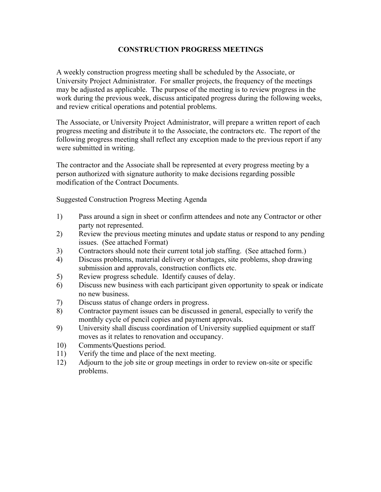#### **CONSTRUCTION PROGRESS MEETINGS**

A weekly construction progress meeting shall be scheduled by the Associate, or University Project Administrator. For smaller projects, the frequency of the meetings may be adjusted as applicable. The purpose of the meeting is to review progress in the work during the previous week, discuss anticipated progress during the following weeks, and review critical operations and potential problems.

The Associate, or University Project Administrator, will prepare a written report of each progress meeting and distribute it to the Associate, the contractors etc. The report of the following progress meeting shall reflect any exception made to the previous report if any were submitted in writing.

The contractor and the Associate shall be represented at every progress meeting by a person authorized with signature authority to make decisions regarding possible modification of the Contract Documents.

Suggested Construction Progress Meeting Agenda

- 1) Pass around a sign in sheet or confirm attendees and note any Contractor or other party not represented.
- 2) Review the previous meeting minutes and update status or respond to any pending issues. (See attached Format)
- 3) Contractors should note their current total job staffing. (See attached form.)
- 4) Discuss problems, material delivery or shortages, site problems, shop drawing submission and approvals, construction conflicts etc.
- 5) Review progress schedule. Identify causes of delay.
- 6) Discuss new business with each participant given opportunity to speak or indicate no new business.
- 7) Discuss status of change orders in progress.
- 8) Contractor payment issues can be discussed in general, especially to verify the monthly cycle of pencil copies and payment approvals.
- 9) University shall discuss coordination of University supplied equipment or staff moves as it relates to renovation and occupancy.
- 10) Comments/Questions period.
- 11) Verify the time and place of the next meeting.
- 12) Adjourn to the job site or group meetings in order to review on-site or specific problems.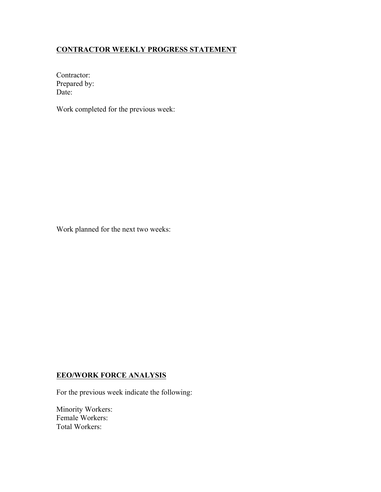#### **CONTRACTOR WEEKLY PROGRESS STATEMENT**

Contractor: Prepared by: Date:

Work completed for the previous week:

Work planned for the next two weeks:

#### **EEO/WORK FORCE ANALYSIS**

For the previous week indicate the following:

Minority Workers: Female Workers: Total Workers: